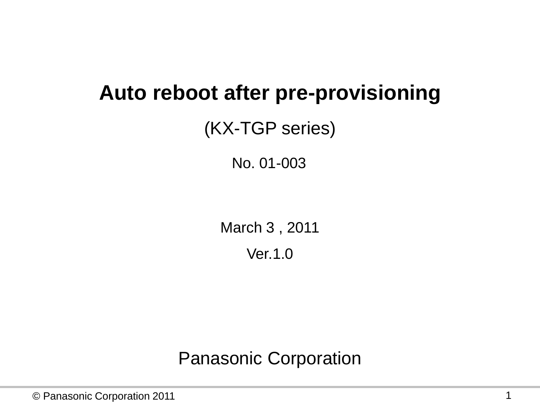### **Auto reboot after pre-provisioning**

### (KX-TGP series)

No. 01-003

March 3 , 2011 Ver.1.0

Panasonic Corporation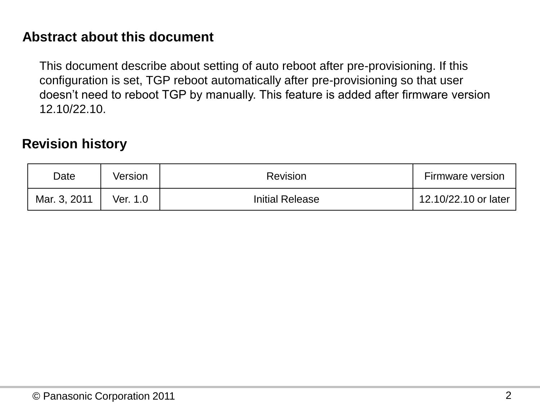#### **Abstract about this document**

This document describe about setting of auto reboot after pre-provisioning. If this configuration is set, TGP reboot automatically after pre-provisioning so that user doesn't need to reboot TGP by manually. This feature is added after firmware version 12.10/22.10.

#### **Revision history**

| Date         | Version  | <b>Revision</b>        | <b>Firmware version</b> |
|--------------|----------|------------------------|-------------------------|
| Mar. 3, 2011 | Ver. 1.0 | <b>Initial Release</b> | 12.10/22.10 or later    |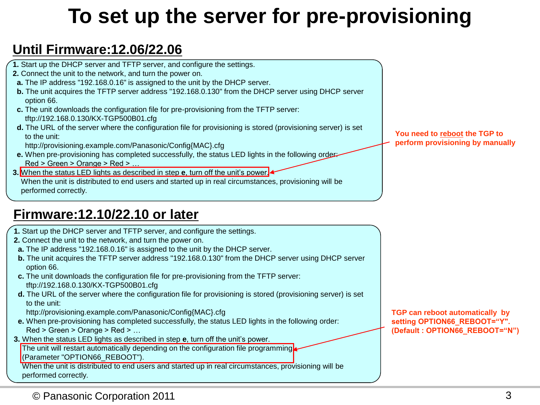## **To set up the server for pre-provisioning**

#### **Until Firmware:12.06/22.06**

- **1.** Start up the DHCP server and TFTP server, and configure the settings.
- **2.** Connect the unit to the network, and turn the power on.
- **a.** The IP address "192.168.0.16" is assigned to the unit by the DHCP server.
- **b.** The unit acquires the TFTP server address "192.168.0.130" from the DHCP server using DHCP server option 66.
- **c.** The unit downloads the configuration file for pre-provisioning from the TFTP server: tftp://192.168.0.130/KX-TGP500B01.cfg
- **d.** The URL of the server where the configuration file for provisioning is stored (provisioning server) is set to the unit:
	- http://provisioning.example.com/Panasonic/Config{MAC}.cfg
- **e.** When pre-provisioning has completed successfully, the status LED lights in the following order: Red > Green > Orange > Red > …
- **3.** When the status LED lights as described in step **e**, turn off the unit's power.

 When the unit is distributed to end users and started up in real circumstances, provisioning will be performed correctly.

#### **Firmware:12.10/22.10 or later**

- **1.** Start up the DHCP server and TFTP server, and configure the settings.
- **2.** Connect the unit to the network, and turn the power on.
- **a.** The IP address "192.168.0.16" is assigned to the unit by the DHCP server.
- **b.** The unit acquires the TFTP server address "192.168.0.130" from the DHCP server using DHCP server option 66.
- **c.** The unit downloads the configuration file for pre-provisioning from the TFTP server: tftp://192.168.0.130/KX-TGP500B01.cfg
- **d.** The URL of the server where the configuration file for provisioning is stored (provisioning server) is set to the unit:
	- http://provisioning.example.com/Panasonic/Config{MAC}.cfg
- **e.** When pre-provisioning has completed successfully, the status LED lights in the following order: Red > Green > Orange > Red > …
- **3.** When the status LED lights as described in step **e**, turn off the unit's power.

The unit will restart automatically depending on the configuration file programming. (Parameter "OPTION66\_REBOOT").

 When the unit is distributed to end users and started up in real circumstances, provisioning will be performed correctly.

**You need to reboot the TGP to perform provisioning by manually**

**TGP can reboot automatically by setting OPTION66\_REBOOT="Y". (Default : OPTION66\_REBOOT="N")**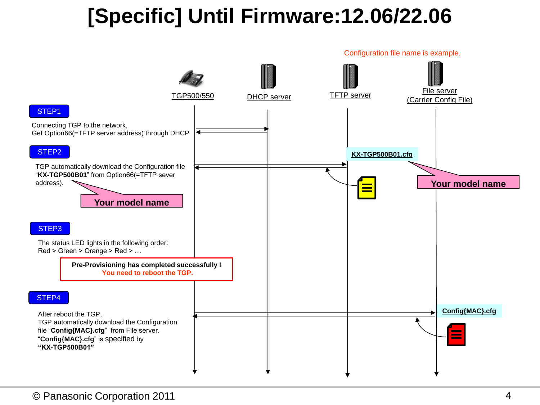# **[Specific] Until Firmware:12.06/22.06**